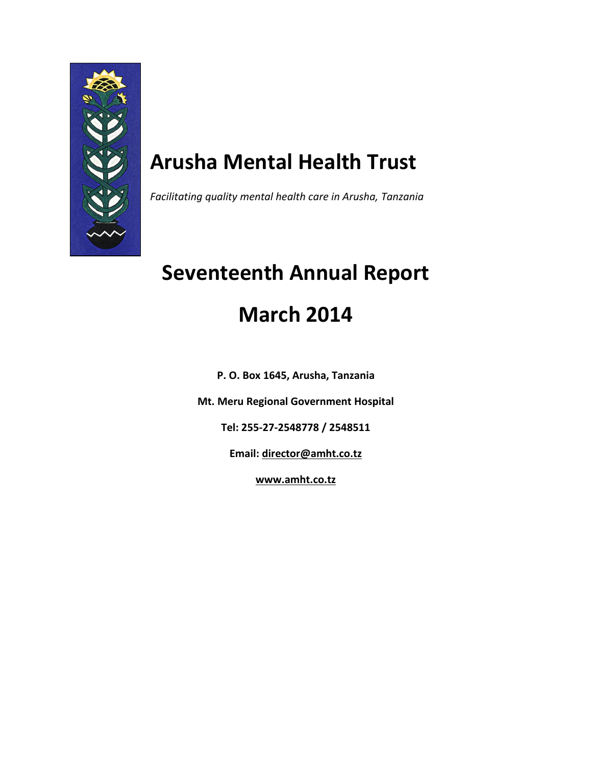

# **Arusha Mental Health Trust**

*Facilitating quality mental health care in Arusha, Tanzania*

# **Seventeenth Annual Report March 2014**

**P. O. Box 1645, Arusha, Tanzania**

**Mt. Meru Regional Government Hospital**

**Tel: 255-27-2548778 / 2548511**

**Email: [director@amht.co.tz](mailto:director@amht.co.tz)**

**[www.amht.co.tz](http://www.amht.co.tz/)**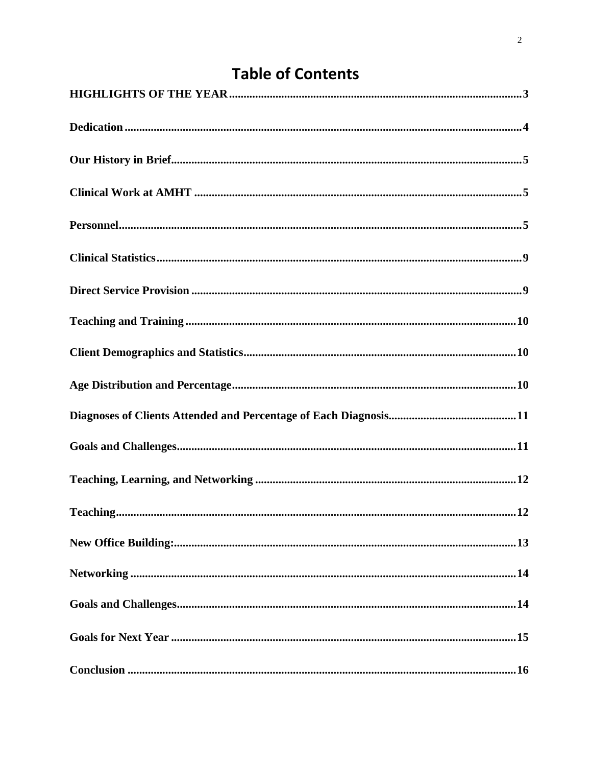# **Table of Contents**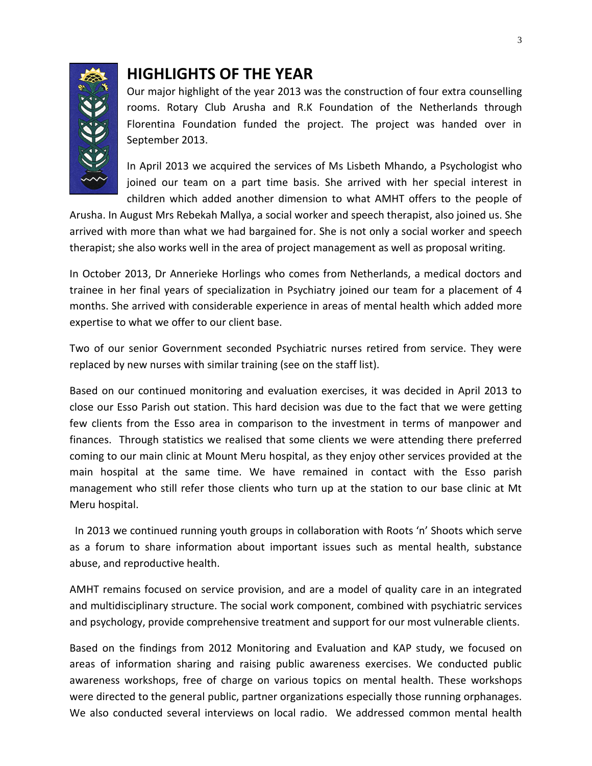

### <span id="page-2-0"></span>**HIGHLIGHTS OF THE YEAR**

Our major highlight of the year 2013 was the construction of four extra counselling rooms. Rotary Club Arusha and R.K Foundation of the Netherlands through Florentina Foundation funded the project. The project was handed over in September 2013.

In April 2013 we acquired the services of Ms Lisbeth Mhando, a Psychologist who joined our team on a part time basis. She arrived with her special interest in children which added another dimension to what AMHT offers to the people of

Arusha. In August Mrs Rebekah Mallya, a social worker and speech therapist, also joined us. She arrived with more than what we had bargained for. She is not only a social worker and speech therapist; she also works well in the area of project management as well as proposal writing.

In October 2013, Dr Annerieke Horlings who comes from Netherlands, a medical doctors and trainee in her final years of specialization in Psychiatry joined our team for a placement of 4 months. She arrived with considerable experience in areas of mental health which added more expertise to what we offer to our client base.

Two of our senior Government seconded Psychiatric nurses retired from service. They were replaced by new nurses with similar training (see on the staff list).

Based on our continued monitoring and evaluation exercises, it was decided in April 2013 to close our Esso Parish out station. This hard decision was due to the fact that we were getting few clients from the Esso area in comparison to the investment in terms of manpower and finances. Through statistics we realised that some clients we were attending there preferred coming to our main clinic at Mount Meru hospital, as they enjoy other services provided at the main hospital at the same time. We have remained in contact with the Esso parish management who still refer those clients who turn up at the station to our base clinic at Mt Meru hospital.

 In 2013 we continued running youth groups in collaboration with Roots 'n' Shoots which serve as a forum to share information about important issues such as mental health, substance abuse, and reproductive health.

AMHT remains focused on service provision, and are a model of quality care in an integrated and multidisciplinary structure. The social work component, combined with psychiatric services and psychology, provide comprehensive treatment and support for our most vulnerable clients.

Based on the findings from 2012 Monitoring and Evaluation and KAP study, we focused on areas of information sharing and raising public awareness exercises. We conducted public awareness workshops, free of charge on various topics on mental health. These workshops were directed to the general public, partner organizations especially those running orphanages. We also conducted several interviews on local radio. We addressed common mental health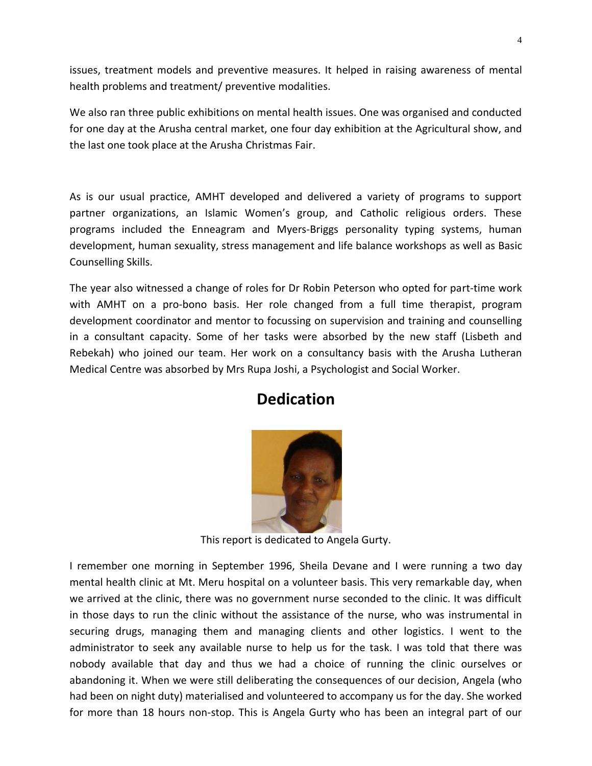issues, treatment models and preventive measures. It helped in raising awareness of mental health problems and treatment/ preventive modalities.

We also ran three public exhibitions on mental health issues. One was organised and conducted for one day at the Arusha central market, one four day exhibition at the Agricultural show, and the last one took place at the Arusha Christmas Fair.

As is our usual practice, AMHT developed and delivered a variety of programs to support partner organizations, an Islamic Women's group, and Catholic religious orders. These programs included the Enneagram and Myers-Briggs personality typing systems, human development, human sexuality, stress management and life balance workshops as well as Basic Counselling Skills.

<span id="page-3-0"></span>The year also witnessed a change of roles for Dr Robin Peterson who opted for part-time work with AMHT on a pro-bono basis. Her role changed from a full time therapist, program development coordinator and mentor to focussing on supervision and training and counselling in a consultant capacity. Some of her tasks were absorbed by the new staff (Lisbeth and Rebekah) who joined our team. Her work on a consultancy basis with the Arusha Lutheran Medical Centre was absorbed by Mrs Rupa Joshi, a Psychologist and Social Worker.

# **Dedication**



This report is dedicated to Angela Gurty.

I remember one morning in September 1996, Sheila Devane and I were running a two day mental health clinic at Mt. Meru hospital on a volunteer basis. This very remarkable day, when we arrived at the clinic, there was no government nurse seconded to the clinic. It was difficult in those days to run the clinic without the assistance of the nurse, who was instrumental in securing drugs, managing them and managing clients and other logistics. I went to the administrator to seek any available nurse to help us for the task. I was told that there was nobody available that day and thus we had a choice of running the clinic ourselves or abandoning it. When we were still deliberating the consequences of our decision, Angela (who had been on night duty) materialised and volunteered to accompany us for the day. She worked for more than 18 hours non-stop. This is Angela Gurty who has been an integral part of our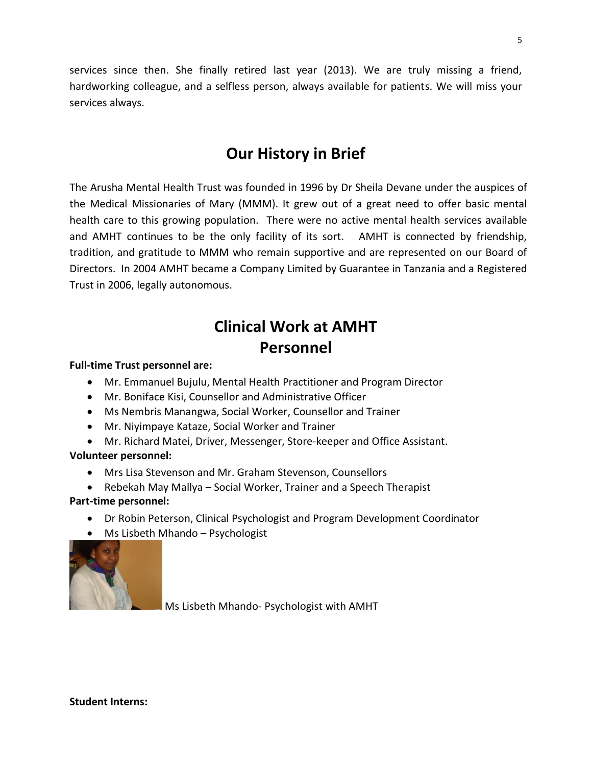services since then. She finally retired last year (2013). We are truly missing a friend, hardworking colleague, and a selfless person, always available for patients. We will miss your services always.

# **Our History in Brief**

<span id="page-4-0"></span>The Arusha Mental Health Trust was founded in 1996 by Dr Sheila Devane under the auspices of the Medical Missionaries of Mary (MMM). It grew out of a great need to offer basic mental health care to this growing population. There were no active mental health services available and AMHT continues to be the only facility of its sort. AMHT is connected by friendship, tradition, and gratitude to MMM who remain supportive and are represented on our Board of Directors. In 2004 AMHT became a Company Limited by Guarantee in Tanzania and a Registered Trust in 2006, legally autonomous.

# **Clinical Work at AMHT Personnel**

#### <span id="page-4-2"></span><span id="page-4-1"></span>**Full-time Trust personnel are:**

- Mr. Emmanuel Bujulu, Mental Health Practitioner and Program Director
- Mr. Boniface Kisi, Counsellor and Administrative Officer
- Ms Nembris Manangwa, Social Worker, Counsellor and Trainer
- Mr. Niyimpaye Kataze, Social Worker and Trainer
- Mr. Richard Matei, Driver, Messenger, Store-keeper and Office Assistant.

#### **Volunteer personnel:**

- Mrs Lisa Stevenson and Mr. Graham Stevenson, Counsellors
- Rebekah May Mallya Social Worker, Trainer and a Speech Therapist

#### **Part-time personnel:**

- Dr Robin Peterson, Clinical Psychologist and Program Development Coordinator
- Ms Lisbeth Mhando Psychologist



Ms Lisbeth Mhando- Psychologist with AMHT

#### **Student Interns:**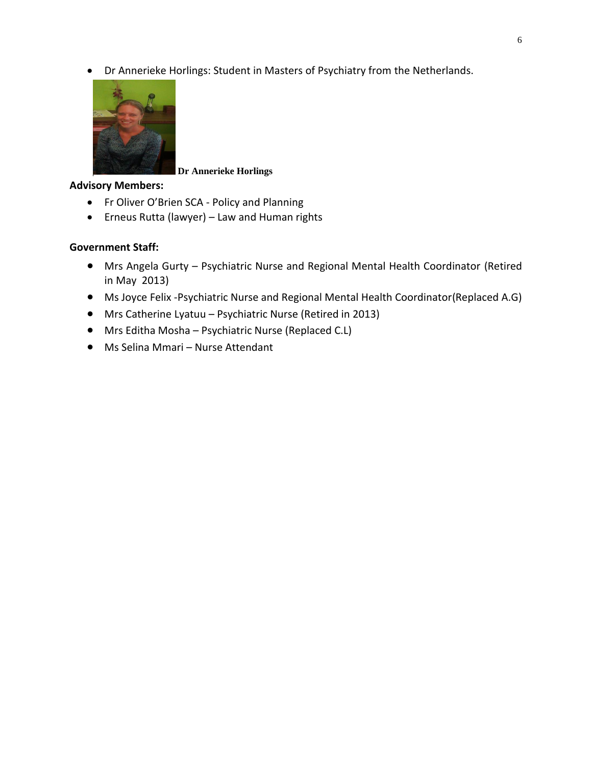Dr Annerieke Horlings: Student in Masters of Psychiatry from the Netherlands.



#### **Dr Annerieke Horlings**

#### **Advisory Members:**

- Fr Oliver O'Brien SCA Policy and Planning
- Erneus Rutta (lawyer) Law and Human rights

#### **Government Staff:**

- Mrs Angela Gurty Psychiatric Nurse and Regional Mental Health Coordinator (Retired in May 2013)
- Ms Joyce Felix -Psychiatric Nurse and Regional Mental Health Coordinator(Replaced A.G)
- Mrs Catherine Lyatuu Psychiatric Nurse (Retired in 2013)
- Mrs Editha Mosha Psychiatric Nurse (Replaced C.L)
- Ms Selina Mmari Nurse Attendant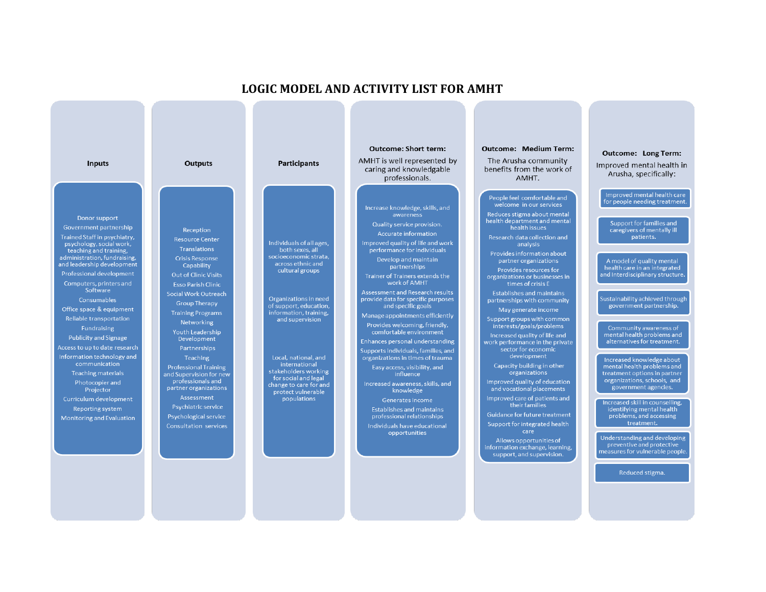#### Outcome: Short term: Outcome: Medium Term: Outcome: Long Term: AMHT is well represented by The Arusha community **Inputs Outputs Participants** Improved mental health in caring and knowledgable benefits from the work of Arusha, specifically: professionals. AMHT. Improved mental health care People feel comfortable and for people needing treatment welcome in our services Increase knowledge, skills, and Reduces stigma about mental awareness Donor support ealth department and mental Support for families and Quality service provision. Government partnership health issues Reception caregivers of mentally ill Accurate information Trained Staff in psychiatry, Research data collection and patients. **Resource Center** Individuals of all ages, Improved quality of life and work psychology, social work, analysis **Translations** teaching and training, performance for individuals ocioeconomic strata administration, fundraising, **Crisis Response** Develop and maintain partner organizations A model of quality mental across ethnic and and leadership development Capability partnerships health care in an integrated cultural groups Provides resources for Professional development **Out of Clinic Visits** and Interdisciplinary structure Trainer of Trainers extends the work of AMHT Computers, printers and times of crisis E **Esso Parish Clinic** Software Assessment and Research results<br>provide data for specific purposes **Establishes and maintains** Social Work Outreach Sustainability achieved through Organizations in need partnerships with community Consumables **Group Therapy** of support, education, and specific goals government partnership. Office space & equipment May generate income **Training Programs** information, training, Manage appointments efficiently Reliable transportation Support groups with common and supervision Networking Provides welcoming, friendly, interests/goals/problems Fundraising Community awareness of<br>mental health problems and **Youth Leadership** comfortable environment Increased quality of life and<br>work performance in the private Publicity and Signage Development alternatives for treatment. Enhances personal understanding Access to up to date research Partnerships sector for economic Supports individuals, families, and organizations in times of trauma Information technology and Teaching Local, national, and development Increased knowledge about<br>mental health problems and communication international Capacity building in other **Professional Training** Easy access, visibility, and stakeholders working organizations **Teaching materials** and Supervision for new treatment options in partner influence for social and legal professionals and organizations, schools, and Improved quality of education Photocopier and Increased awareness, skills, and<br>knowledge change to care for and Projector partner organizations and vocational placements government agencies. protect vulnerable populations Improved care of patients and Curriculum development Generates income Increased skill in counselling, their families Psychiatric service identifying mental health Reporting system Establishes and maintains Guidance for future treatment professional relationships problems, and accessing Psychological service **Monitoring and Evaluation** Support for integrated health treatment. **Consultation services** Individuals have educational care opportunities Understanding and developing Allows opportunities of preventive and protective information exchange, learning, measures for vulnerable people support, and supervision. Reduced stigma.

**LOGIC MODEL AND ACTIVITY LIST FOR AMHT**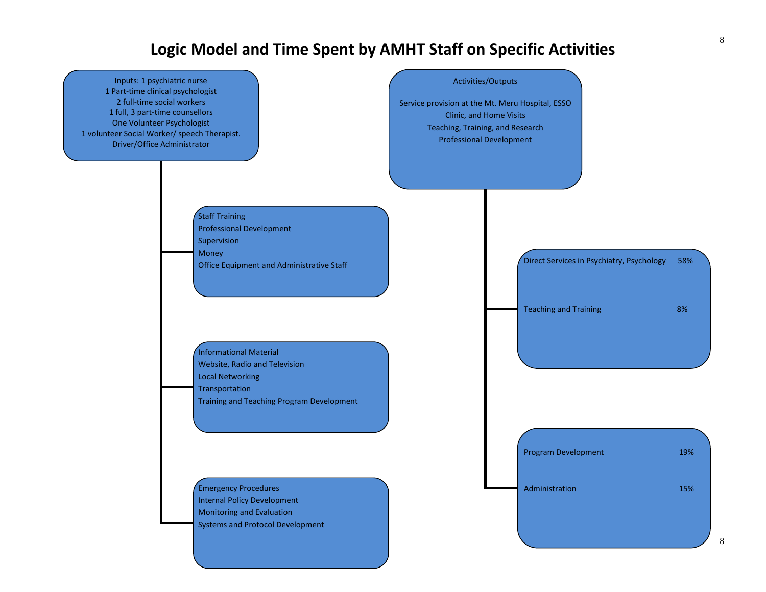# **Logic Model and Time Spent by AMHT Staff on Specific Activities**

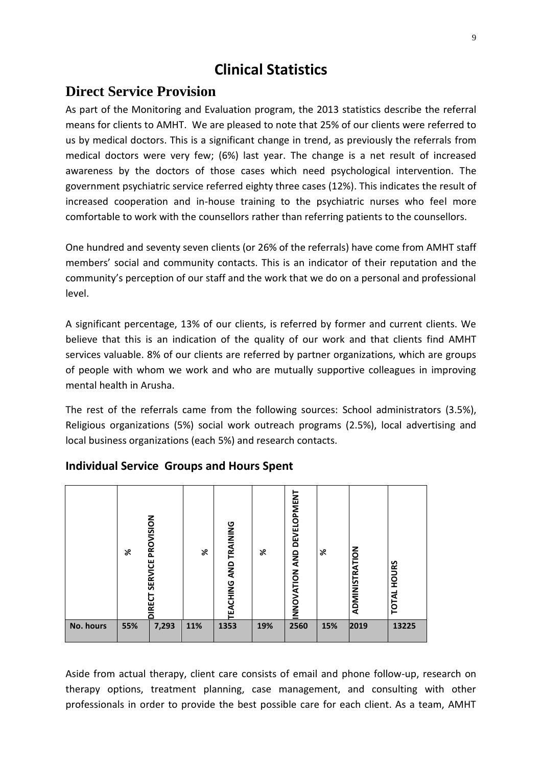# **Clinical Statistics**

### <span id="page-8-1"></span><span id="page-8-0"></span>**Direct Service Provision**

As part of the Monitoring and Evaluation program, the 2013 statistics describe the referral means for clients to AMHT. We are pleased to note that 25% of our clients were referred to us by medical doctors. This is a significant change in trend, as previously the referrals from medical doctors were very few; (6%) last year. The change is a net result of increased awareness by the doctors of those cases which need psychological intervention. The government psychiatric service referred eighty three cases (12%). This indicates the result of increased cooperation and in-house training to the psychiatric nurses who feel more comfortable to work with the counsellors rather than referring patients to the counsellors.

One hundred and seventy seven clients (or 26% of the referrals) have come from AMHT staff members' social and community contacts. This is an indicator of their reputation and the community's perception of our staff and the work that we do on a personal and professional level.

A significant percentage, 13% of our clients, is referred by former and current clients. We believe that this is an indication of the quality of our work and that clients find AMHT services valuable. 8% of our clients are referred by partner organizations, which are groups of people with whom we work and who are mutually supportive colleagues in improving mental health in Arusha.

The rest of the referrals came from the following sources: School administrators (3.5%), Religious organizations (5%) social work outreach programs (2.5%), local advertising and local business organizations (each 5%) and research contacts.

|           | ৯   | PROVISION<br><b>SERVICE</b><br><b>IRECT</b> | ৯   | EACHING AND TRAINING | ৯   | <b>DEVELOPMENT</b><br>INNOVATION AND | ৯   | ADMINISTRATION | HOURS<br>TOTAL |
|-----------|-----|---------------------------------------------|-----|----------------------|-----|--------------------------------------|-----|----------------|----------------|
| No. hours | 55% | 7,293                                       | 11% | 1353                 | 19% | 2560                                 | 15% | 2019           | 13225          |

### **Individual Service Groups and Hours Spent**

Aside from actual therapy, client care consists of email and phone follow-up, research on therapy options, treatment planning, case management, and consulting with other professionals in order to provide the best possible care for each client. As a team, AMHT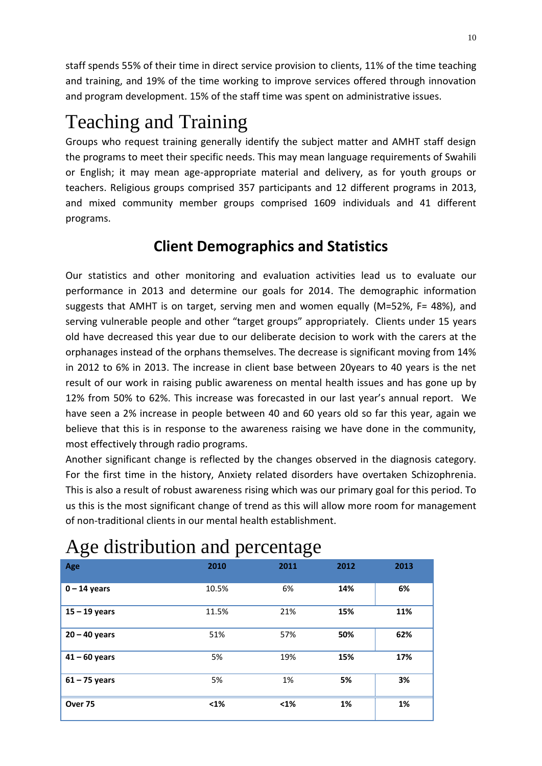<span id="page-9-0"></span>staff spends 55% of their time in direct service provision to clients, 11% of the time teaching and training, and 19% of the time working to improve services offered through innovation and program development. 15% of the staff time was spent on administrative issues.

# Teaching and Training

<span id="page-9-1"></span>Groups who request training generally identify the subject matter and AMHT staff design the programs to meet their specific needs. This may mean language requirements of Swahili or English; it may mean age-appropriate material and delivery, as for youth groups or teachers. Religious groups comprised 357 participants and 12 different programs in 2013, and mixed community member groups comprised 1609 individuals and 41 different programs.

# **Client Demographics and Statistics**

Our statistics and other monitoring and evaluation activities lead us to evaluate our performance in 2013 and determine our goals for 2014. The demographic information suggests that AMHT is on target, serving men and women equally (M=52%, F= 48%), and serving vulnerable people and other "target groups" appropriately. Clients under 15 years old have decreased this year due to our deliberate decision to work with the carers at the orphanages instead of the orphans themselves. The decrease is significant moving from 14% in 2012 to 6% in 2013. The increase in client base between 20years to 40 years is the net result of our work in raising public awareness on mental health issues and has gone up by 12% from 50% to 62%. This increase was forecasted in our last year's annual report. We have seen a 2% increase in people between 40 and 60 years old so far this year, again we believe that this is in response to the awareness raising we have done in the community, most effectively through radio programs.

<span id="page-9-2"></span>Another significant change is reflected by the changes observed in the diagnosis category. For the first time in the history, Anxiety related disorders have overtaken Schizophrenia. This is also a result of robust awareness rising which was our primary goal for this period. To us this is the most significant change of trend as this will allow more room for management of non-traditional clients in our mental health establishment.

| $\check{~}$     | ┻.    | ັ    |      |      |
|-----------------|-------|------|------|------|
| Age             | 2010  | 2011 | 2012 | 2013 |
| $0 - 14$ years  | 10.5% | 6%   | 14%  | 6%   |
| $15 - 19$ years | 11.5% | 21%  | 15%  | 11%  |
| $20 - 40$ years | 51%   | 57%  | 50%  | 62%  |
| $41 - 60$ years | 5%    | 19%  | 15%  | 17%  |
| $61 - 75$ years | 5%    | 1%   | 5%   | 3%   |
| Over 75         | $1%$  | $1%$ | 1%   | 1%   |

# Age distribution and percentage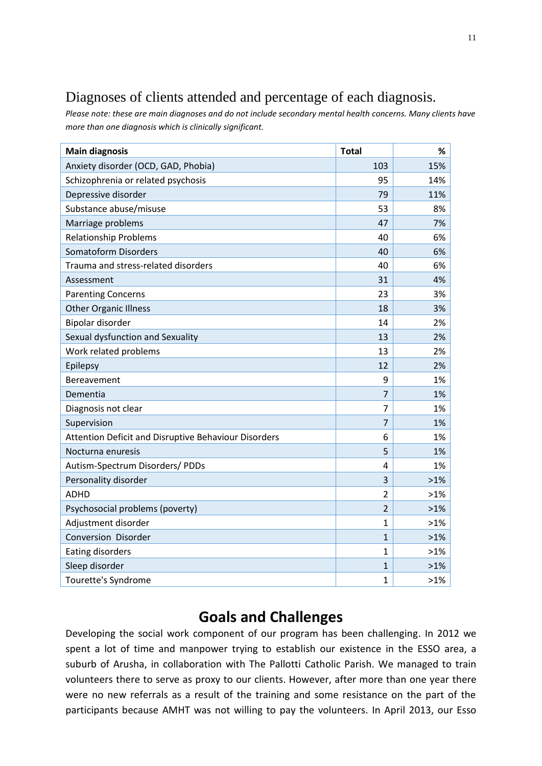# <span id="page-10-0"></span>Diagnoses of clients attended and percentage of each diagnosis.

*Please note: these are main diagnoses and do not include secondary mental health concerns. Many clients have more than one diagnosis which is clinically significant.*

| <b>Main diagnosis</b>                                       | <b>Total</b>   | %      |
|-------------------------------------------------------------|----------------|--------|
| Anxiety disorder (OCD, GAD, Phobia)                         | 103            | 15%    |
| Schizophrenia or related psychosis                          | 95             | 14%    |
| Depressive disorder                                         | 79             | 11%    |
| Substance abuse/misuse                                      | 53             | 8%     |
| Marriage problems                                           | 47             | 7%     |
| <b>Relationship Problems</b>                                | 40             | 6%     |
| <b>Somatoform Disorders</b>                                 | 40             | 6%     |
| Trauma and stress-related disorders                         | 40             | 6%     |
| Assessment                                                  | 31             | 4%     |
| <b>Parenting Concerns</b>                                   | 23             | 3%     |
| <b>Other Organic Illness</b>                                | 18             | 3%     |
| Bipolar disorder                                            | 14             | 2%     |
| Sexual dysfunction and Sexuality                            | 13             | 2%     |
| Work related problems                                       | 13             | 2%     |
| Epilepsy                                                    | 12             | 2%     |
| Bereavement                                                 | 9              | 1%     |
| Dementia                                                    | $\overline{7}$ | 1%     |
| Diagnosis not clear                                         | $\overline{7}$ | 1%     |
| Supervision                                                 | $\overline{7}$ | 1%     |
| <b>Attention Deficit and Disruptive Behaviour Disorders</b> | 6              | 1%     |
| Nocturna enuresis                                           | 5              | 1%     |
| Autism-Spectrum Disorders/ PDDs                             | 4              | 1%     |
| Personality disorder                                        | 3              | $>1\%$ |
| <b>ADHD</b>                                                 | $\overline{2}$ | $>1\%$ |
| Psychosocial problems (poverty)                             | $\overline{2}$ | $>1\%$ |
| Adjustment disorder                                         | $\mathbf{1}$   | $>1\%$ |
| <b>Conversion Disorder</b>                                  | $\mathbf{1}$   | $>1\%$ |
| <b>Eating disorders</b>                                     | $\mathbf{1}$   | $>1\%$ |
| Sleep disorder                                              | 1              | $>1\%$ |
| Tourette's Syndrome                                         | $\overline{1}$ | $>1\%$ |

# **Goals and Challenges**

<span id="page-10-1"></span>Developing the social work component of our program has been challenging. In 2012 we spent a lot of time and manpower trying to establish our existence in the ESSO area, a suburb of Arusha, in collaboration with The Pallotti Catholic Parish. We managed to train volunteers there to serve as proxy to our clients. However, after more than one year there were no new referrals as a result of the training and some resistance on the part of the participants because AMHT was not willing to pay the volunteers. In April 2013, our Esso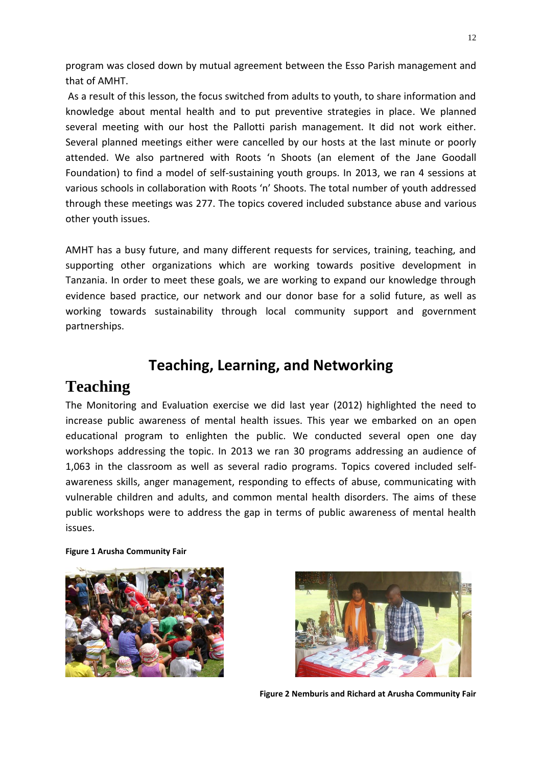program was closed down by mutual agreement between the Esso Parish management and that of AMHT.

As a result of this lesson, the focus switched from adults to youth, to share information and knowledge about mental health and to put preventive strategies in place. We planned several meeting with our host the Pallotti parish management. It did not work either. Several planned meetings either were cancelled by our hosts at the last minute or poorly attended. We also partnered with Roots 'n Shoots (an element of the Jane Goodall Foundation) to find a model of self-sustaining youth groups. In 2013, we ran 4 sessions at various schools in collaboration with Roots 'n' Shoots. The total number of youth addressed through these meetings was 277. The topics covered included substance abuse and various other youth issues.

<span id="page-11-0"></span>AMHT has a busy future, and many different requests for services, training, teaching, and supporting other organizations which are working towards positive development in Tanzania. In order to meet these goals, we are working to expand our knowledge through evidence based practice, our network and our donor base for a solid future, as well as working towards sustainability through local community support and government partnerships.

# **Teaching, Learning, and Networking**

# <span id="page-11-1"></span>**Teaching**

The Monitoring and Evaluation exercise we did last year (2012) highlighted the need to increase public awareness of mental health issues. This year we embarked on an open educational program to enlighten the public. We conducted several open one day workshops addressing the topic. In 2013 we ran 30 programs addressing an audience of 1,063 in the classroom as well as several radio programs. Topics covered included selfawareness skills, anger management, responding to effects of abuse, communicating with vulnerable children and adults, and common mental health disorders. The aims of these public workshops were to address the gap in terms of public awareness of mental health issues.

#### **Figure 1 Arusha Community Fair**





**Figure 2 Nemburis and Richard at Arusha Community Fair**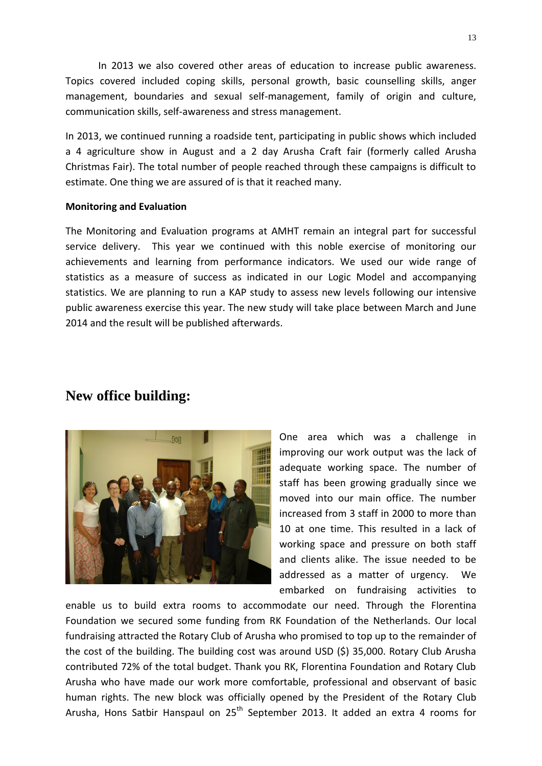In 2013 we also covered other areas of education to increase public awareness. Topics covered included coping skills, personal growth, basic counselling skills, anger management, boundaries and sexual self-management, family of origin and culture, communication skills, self-awareness and stress management.

In 2013, we continued running a roadside tent, participating in public shows which included a 4 agriculture show in August and a 2 day Arusha Craft fair (formerly called Arusha Christmas Fair). The total number of people reached through these campaigns is difficult to estimate. One thing we are assured of is that it reached many.

#### **Monitoring and Evaluation**

The Monitoring and Evaluation programs at AMHT remain an integral part for successful service delivery. This year we continued with this noble exercise of monitoring our achievements and learning from performance indicators. We used our wide range of statistics as a measure of success as indicated in our Logic Model and accompanying statistics. We are planning to run a KAP study to assess new levels following our intensive public awareness exercise this year. The new study will take place between March and June 2014 and the result will be published afterwards.

### <span id="page-12-0"></span>**New office building:**



One area which was a challenge in improving our work output was the lack of adequate working space. The number of staff has been growing gradually since we moved into our main office. The number increased from 3 staff in 2000 to more than 10 at one time. This resulted in a lack of working space and pressure on both staff and clients alike. The issue needed to be addressed as a matter of urgency. We embarked on fundraising activities to

enable us to build extra rooms to accommodate our need. Through the Florentina Foundation we secured some funding from RK Foundation of the Netherlands. Our local fundraising attracted the Rotary Club of Arusha who promised to top up to the remainder of the cost of the building. The building cost was around USD (\$) 35,000. Rotary Club Arusha contributed 72% of the total budget. Thank you RK, Florentina Foundation and Rotary Club Arusha who have made our work more comfortable, professional and observant of basic human rights. The new block was officially opened by the President of the Rotary Club Arusha, Hons Satbir Hanspaul on  $25<sup>th</sup>$  September 2013. It added an extra 4 rooms for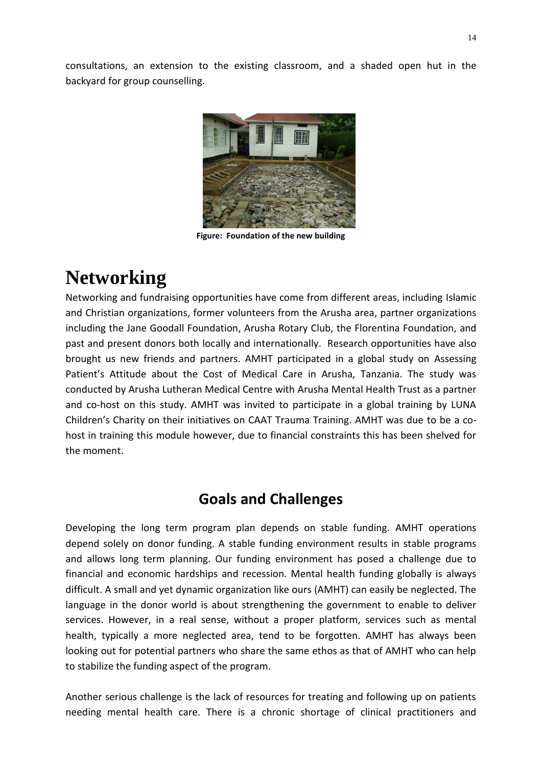consultations, an extension to the existing classroom, and a shaded open hut in the backyard for group counselling.



**Figure: Foundation of the new building**

# <span id="page-13-0"></span>**Networking**

Networking and fundraising opportunities have come from different areas, including Islamic and Christian organizations, former volunteers from the Arusha area, partner organizations including the Jane Goodall Foundation, Arusha Rotary Club, the Florentina Foundation, and past and present donors both locally and internationally. Research opportunities have also brought us new friends and partners. AMHT participated in a global study on Assessing Patient's Attitude about the Cost of Medical Care in Arusha, Tanzania. The study was conducted by Arusha Lutheran Medical Centre with Arusha Mental Health Trust as a partner and co-host on this study. AMHT was invited to participate in a global training by LUNA Children's Charity on their initiatives on CAAT Trauma Training. AMHT was due to be a cohost in training this module however, due to financial constraints this has been shelved for the moment.

# **Goals and Challenges**

<span id="page-13-1"></span>Developing the long term program plan depends on stable funding. AMHT operations depend solely on donor funding. A stable funding environment results in stable programs and allows long term planning. Our funding environment has posed a challenge due to financial and economic hardships and recession. Mental health funding globally is always difficult. A small and yet dynamic organization like ours (AMHT) can easily be neglected. The language in the donor world is about strengthening the government to enable to deliver services. However, in a real sense, without a proper platform, services such as mental health, typically a more neglected area, tend to be forgotten. AMHT has always been looking out for potential partners who share the same ethos as that of AMHT who can help to stabilize the funding aspect of the program.

Another serious challenge is the lack of resources for treating and following up on patients needing mental health care. There is a chronic shortage of clinical practitioners and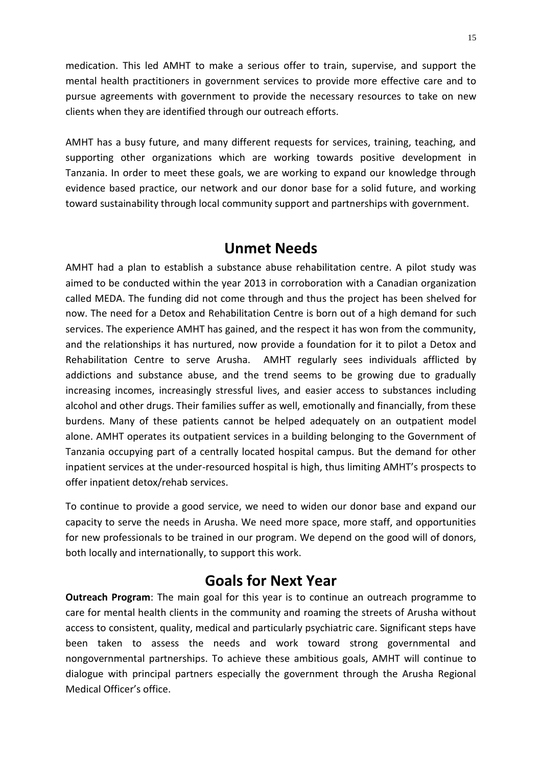medication. This led AMHT to make a serious offer to train, supervise, and support the mental health practitioners in government services to provide more effective care and to pursue agreements with government to provide the necessary resources to take on new clients when they are identified through our outreach efforts.

AMHT has a busy future, and many different requests for services, training, teaching, and supporting other organizations which are working towards positive development in Tanzania. In order to meet these goals, we are working to expand our knowledge through evidence based practice, our network and our donor base for a solid future, and working toward sustainability through local community support and partnerships with government.

# **Unmet Needs**

AMHT had a plan to establish a substance abuse rehabilitation centre. A pilot study was aimed to be conducted within the year 2013 in corroboration with a Canadian organization called MEDA. The funding did not come through and thus the project has been shelved for now. The need for a Detox and Rehabilitation Centre is born out of a high demand for such services. The experience AMHT has gained, and the respect it has won from the community, and the relationships it has nurtured, now provide a foundation for it to pilot a Detox and Rehabilitation Centre to serve Arusha. AMHT regularly sees individuals afflicted by addictions and substance abuse, and the trend seems to be growing due to gradually increasing incomes, increasingly stressful lives, and easier access to substances including alcohol and other drugs. Their families suffer as well, emotionally and financially, from these burdens. Many of these patients cannot be helped adequately on an outpatient model alone. AMHT operates its outpatient services in a building belonging to the Government of Tanzania occupying part of a centrally located hospital campus. But the demand for other inpatient services at the under-resourced hospital is high, thus limiting AMHT's prospects to offer inpatient detox/rehab services.

<span id="page-14-0"></span>To continue to provide a good service, we need to widen our donor base and expand our capacity to serve the needs in Arusha. We need more space, more staff, and opportunities for new professionals to be trained in our program. We depend on the good will of donors, both locally and internationally, to support this work.

# **Goals for Next Year**

**Outreach Program**: The main goal for this year is to continue an outreach programme to care for mental health clients in the community and roaming the streets of Arusha without access to consistent, quality, medical and particularly psychiatric care. Significant steps have been taken to assess the needs and work toward strong governmental and nongovernmental partnerships. To achieve these ambitious goals, AMHT will continue to dialogue with principal partners especially the government through the Arusha Regional Medical Officer's office.